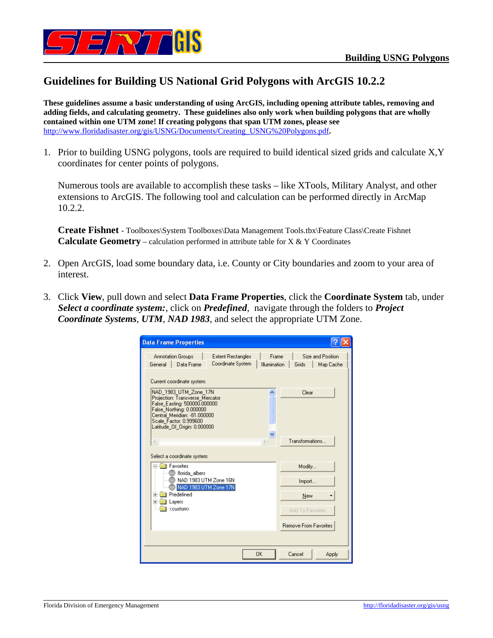

## **Guidelines for Building US National Grid Polygons with ArcGIS 10.2.2**

**These guidelines assume a basic understanding of using ArcGIS, including opening attribute tables, removing and adding fields, and calculating geometry. These guidelines also only work when building polygons that are wholly contained within one UTM zone! If creating polygons that span UTM zones, please see**  http://www.floridadisaster.org/gis/USNG/Documents/Creating\_USNG%20Polygons.pdf**.** 

1. Prior to building USNG polygons, tools are required to build identical sized grids and calculate X,Y coordinates for center points of polygons.

Numerous tools are available to accomplish these tasks – like XTools, Military Analyst, and other extensions to ArcGIS. The following tool and calculation can be performed directly in ArcMap 10.2.2.

**Create Fishnet** - Toolboxes\System Toolboxes\Data Management Tools.tbx\Feature Class\Create Fishnet **Calculate Geometry** – calculation performed in attribute table for X & Y Coordinates

- 2. Open ArcGIS, load some boundary data, i.e. County or City boundaries and zoom to your area of interest.
- 3. Click **View**, pull down and select **Data Frame Properties**, click the **Coordinate System** tab, under *Select a coordinate system:*, click on *Predefined*, navigate through the folders to *Project Coordinate Systems*, *UTM*, *NAD 1983*, and select the appropriate UTM Zone.

| <b>Data Frame Properties</b>                                                                                                                                                                                 |                                                |                                                                  |
|--------------------------------------------------------------------------------------------------------------------------------------------------------------------------------------------------------------|------------------------------------------------|------------------------------------------------------------------|
| Annotation Groups<br>General<br>Data Frame                                                                                                                                                                   | <b>Extent Rectangles</b><br>Coordinate System  | Frame<br>Size and Position<br>Illumination<br>Grids<br>Map Cache |
| Current coordinate system:<br>NAD_1983_UTM_Zone_17N<br>Projection: Transverse Mercator<br>False_Easting: 500000.000000<br>False_Northing: 0.000000<br>Central Meridian: -81.000000<br>Scale Factor: 0.999600 |                                                | Clear                                                            |
| Latitude_Of_Origin: 0.000000<br>$\langle$<br>Select a coordinate system:<br>Favorites                                                                                                                        |                                                | Transformations                                                  |
| @ florida albers                                                                                                                                                                                             | NAD 1983 UTM Zone 16N<br>NAD 1983 UTM Zone 17N | Modify<br>Import                                                 |
| Predefined<br>$\overline{+}$<br>Layers<br>$+$<br><custom></custom>                                                                                                                                           |                                                | New<br>Add To Favorites                                          |
|                                                                                                                                                                                                              |                                                | <b>Remove From Favorites</b>                                     |
|                                                                                                                                                                                                              | 0K                                             | Cancel<br>Apply                                                  |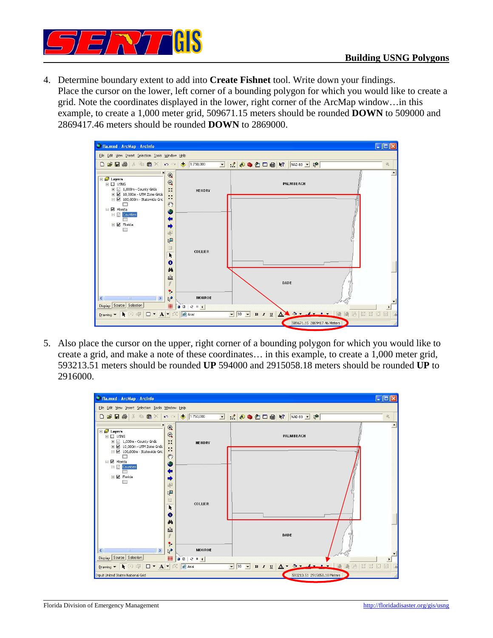

4. Determine boundary extent to add into **Create Fishnet** tool. Write down your findings. Place the cursor on the lower, left corner of a bounding polygon for which you would like to create a grid. Note the coordinates displayed in the lower, right corner of the ArcMap window…in this example, to create a 1,000 meter grid, 509671.15 meters should be rounded **DOWN** to 509000 and 2869417.46 meters should be rounded **DOWN** to 2869000.



5. Also place the cursor on the upper, right corner of a bounding polygon for which you would like to create a grid, and make a note of these coordinates… in this example, to create a 1,000 meter grid, 593213.51 meters should be rounded **UP** 594000 and 2915058.18 meters should be rounded **UP** to 2916000.

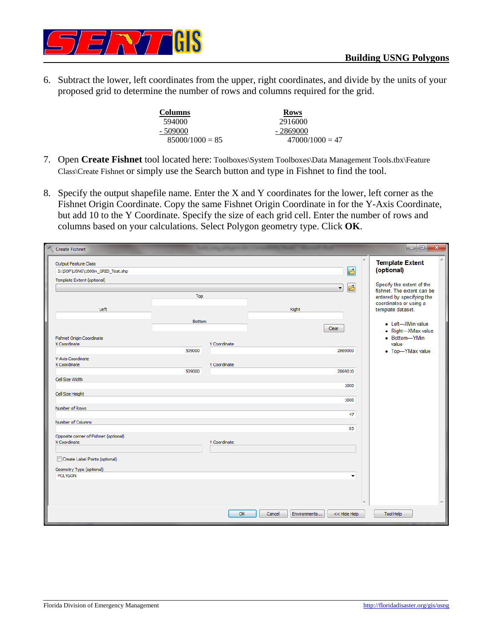

6. Subtract the lower, left coordinates from the upper, right coordinates, and divide by the units of your proposed grid to determine the number of rows and columns required for the grid.

| <b>Columns</b>    | <b>Rows</b>       |
|-------------------|-------------------|
| 594000            | 2916000           |
| $-509000$         | - 2869000         |
| $85000/1000 = 85$ | $47000/1000 = 47$ |

- 7. Open Create Fishnet tool located here: Toolboxes\System Toolboxes\Data Management Tools.tbx\Feature Class\Create Fishnet or simply use the Search button and type in Fishnet to find the tool.
- 8. Specify the output shapefile name. Enter the X and Y coordinates for the lower, left corner as the Fishnet Origin Coordinate. Copy the same Fishnet Origin Coordinate in for the Y-Axis Coordinate, but add 10 to the Y Coordinate. Specify the size of each grid cell. Enter the number of rows and columns based on your calculations. Select Polygon geometry type. Click **OK**.

| Create Fishnet                                          |               |              |        |                              | اماما<br>$\mathbf{x}$                                   |
|---------------------------------------------------------|---------------|--------------|--------|------------------------------|---------------------------------------------------------|
| Output Feature Class<br>S:\SOP\USNG\1000m_GRID_Test.shp |               |              |        | 固                            | <b>Template Extent</b><br>(optional)                    |
| Template Extent (optional)                              |               |              |        |                              |                                                         |
|                                                         |               |              |        | 凸<br>$\blacktriangledown$    | Specify the extent of the<br>fishnet. The extent can be |
|                                                         | Top           |              |        |                              | entered by specifying the                               |
|                                                         |               |              |        |                              | coordinates or using a                                  |
| Left                                                    |               |              | Right  |                              | template dataset.                                       |
|                                                         | <b>Bottom</b> |              |        |                              | • Left-XMin value                                       |
|                                                         |               |              |        | Clear                        | • Right-XMax value                                      |
| Fishnet Origin Coordinate                               |               |              |        |                              | • Bottom-YMin                                           |
| X Coordinate                                            |               | Y Coordinate |        |                              | value                                                   |
|                                                         | 509000        |              |        | 2869000                      | • Top-YMax value                                        |
| Y-Axis Coordinate                                       |               |              |        |                              |                                                         |
| X Coordinate                                            | 509000        | Y Coordinate |        | 2869010                      |                                                         |
| Cell Size Width                                         |               |              |        |                              |                                                         |
|                                                         |               |              |        | 1000                         |                                                         |
| Cell Size Height                                        |               |              |        |                              |                                                         |
|                                                         |               |              |        | 1000                         |                                                         |
| Number of Rows                                          |               |              |        |                              |                                                         |
|                                                         |               |              |        | 47                           |                                                         |
| Number of Columns                                       |               |              |        |                              |                                                         |
|                                                         |               |              |        | 85                           |                                                         |
| Opposite corner of Fishnet (optional)<br>X Coordinate   |               | Y Coordinate |        |                              |                                                         |
|                                                         |               |              |        |                              |                                                         |
| Create Label Points (optional)                          |               |              |        |                              |                                                         |
|                                                         |               |              |        |                              |                                                         |
| Geometry Type (optional)                                |               |              |        |                              |                                                         |
| <b>POLYGON</b>                                          |               |              |        | ▼                            |                                                         |
|                                                         |               |              |        |                              |                                                         |
|                                                         |               |              |        |                              |                                                         |
|                                                         |               |              |        |                              |                                                         |
|                                                         |               | OK           | Cancel | Environments<br><< Hide Help | <b>Tool Help</b>                                        |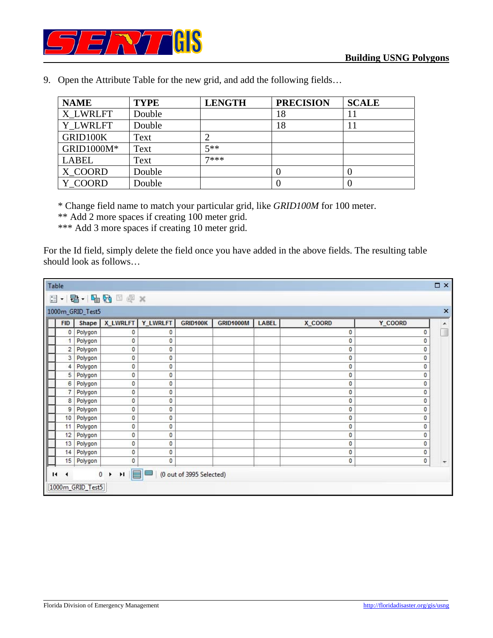

| <b>NAME</b>  | <b>TYPE</b> | <b>LENGTH</b> | <b>PRECISION</b> | <b>SCALE</b> |
|--------------|-------------|---------------|------------------|--------------|
| X LWRLFT     | Double      |               | 18               |              |
| Y LWRLFT     | Double      |               | 18               |              |
| GRID100K     | Text        |               |                  |              |
| GRID1000M*   | Text        | $5**$         |                  |              |
| <b>LABEL</b> | Text        | 7***          |                  |              |
| X COORD      | Double      |               |                  |              |
| Y COORD      | Double      |               |                  |              |

9. Open the Attribute Table for the new grid, and add the following fields…

\* Change field name to match your particular grid, like *GRID100M* for 100 meter.

\*\* Add 2 more spaces if creating 100 meter grid.

\*\*\* Add 3 more spaces if creating 10 meter grid.

For the Id field, simply delete the field once you have added in the above fields. The resulting table should look as follows…

|   | <b>DX</b><br>Table                                         |         |                 |          |          |                  |              |         |         |   |
|---|------------------------------------------------------------|---------|-----------------|----------|----------|------------------|--------------|---------|---------|---|
|   | 日 - 唐 - 中國 口頭 ×                                            |         |                 |          |          |                  |              |         |         |   |
|   | $\times$<br>1000m_GRID_Test5                               |         |                 |          |          |                  |              |         |         |   |
|   | <b>FID</b>                                                 | Shape   | <b>X_LWRLFT</b> | Y_LWRLFT | GRID100K | <b>GRID1000M</b> | <b>LABEL</b> | X_COORD | Y_COORD | ۸ |
|   | $\mathbf 0$                                                | Polygon | 0               | 0        |          |                  |              | 0       | 0       |   |
|   | 1                                                          | Polygon | 0               | 0        |          |                  |              | 0       | 0       |   |
|   | 2                                                          | Polygon | 0               | 0        |          |                  |              | 0       | 0       |   |
| ľ | 3                                                          | Polygon | 0               | 0        |          |                  |              | 0       | 0       |   |
| ľ | 4                                                          | Polygon | 0               | 0        |          |                  |              | 0       | 0       |   |
|   | 5                                                          | Polygon | 0               | 0        |          |                  |              | 0       | 0       |   |
|   | 6                                                          | Polygon | 0               | 0        |          |                  |              | 0       | 0       |   |
|   | 7                                                          | Polygon | 0               | 0        |          |                  |              | 0       | 0       |   |
|   | 8                                                          | Polygon | 0               | 0        |          |                  |              | 0       | 0       |   |
|   | 9                                                          | Polygon | 0               | 0        |          |                  |              | 0       | 0       |   |
|   | 10                                                         | Polygon | 0               | 0        |          |                  |              | 0       | 0       |   |
| ľ | 11                                                         | Polygon | 0               | 0        |          |                  |              | 0       | 0       |   |
| ľ | 12                                                         | Polygon | 0               | 0        |          |                  |              | 0       | 0       |   |
| ľ | 13                                                         | Polygon | 0               | 0        |          |                  |              | 0       | 0       |   |
|   | 14                                                         | Polygon | 0               | 0        |          |                  |              | 0       | 0       |   |
|   | 15                                                         | Polygon | 0               | 0        |          |                  |              | 0       | 0       |   |
|   | H<br>▤<br>$0 \rightarrow$<br>(0 out of 3995 Selected)<br>и |         |                 |          |          |                  |              |         |         |   |
|   | [1000m_GRID_Test5]                                         |         |                 |          |          |                  |              |         |         |   |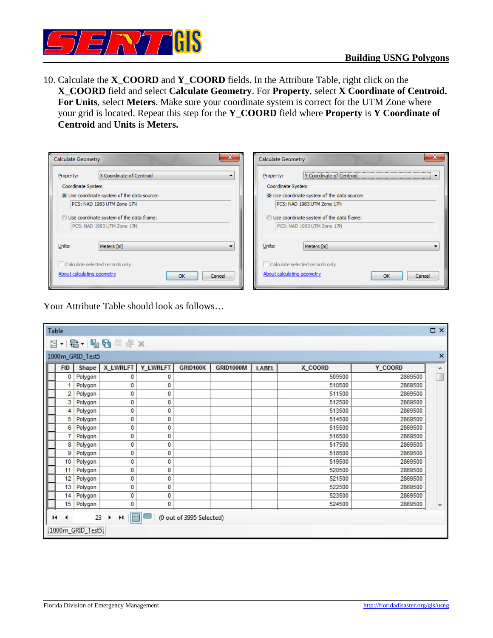

10. Calculate the **X\_COORD** and **Y\_COORD** fields. In the Attribute Table, right click on the **X\_COORD** field and select **Calculate Geometry**. For **Property**, select **X Coordinate of Centroid. For Units**, select **Meters**. Make sure your coordinate system is correct for the UTM Zone where your grid is located. Repeat this step for the **Y\_COORD** field where **Property** is **Y Coordinate of Centroid** and **Units** is **Meters.**

| ×<br><b>Calculate Geometry</b>                                         | <b>Calculate Geometry</b>                                              |
|------------------------------------------------------------------------|------------------------------------------------------------------------|
| X Coordinate of Centroid<br>Property:<br>▼                             | Y Coordinate of Centroid<br>Property:<br>$\sim$                        |
| Coordinate System                                                      | Coordinate System                                                      |
| O Use coordinate system of the data source:                            | O Use coordinate system of the data source:                            |
| PCS: NAD 1983 UTM Zone 17N                                             | PCS: NAD 1983 UTM Zone 17N                                             |
| Use coordinate system of the data frame:<br>PCS: NAD 1983 UTM Zone 17N | Use coordinate system of the data frame:<br>PCS: NAD 1983 UTM Zone 17N |
| Units:<br>Meters [m]<br>▼                                              | Units:<br>Meters [m]                                                   |
| Calculate selected records only                                        | Calculate selected records only                                        |
| About calculating geometry<br>OK<br>Cancel                             | About calculating geometry<br>OK<br>Cancel                             |

Your Attribute Table should look as follows…

| Table |                                                                                                                |         |                 |          |          |                  |              |         |          | $\square$ $\times$ |
|-------|----------------------------------------------------------------------------------------------------------------|---------|-----------------|----------|----------|------------------|--------------|---------|----------|--------------------|
|       | $ \mathbf{E}$ $ \mathbf{E}$ $\mathbf{E}$ $\mathbf{E}$ $\mathbf{E}$ $\mathbf{x}$<br>$_{\circ}^{\circ}$ $\equiv$ |         |                 |          |          |                  |              |         |          |                    |
|       | 1000m_GRID_Test5                                                                                               |         |                 |          |          |                  |              |         | $\times$ |                    |
|       | <b>FID</b>                                                                                                     | Shape   | <b>X_LWRLFT</b> | Y_LWRLFT | GRID100K | <b>GRID1000M</b> | <b>LABEL</b> | X COORD | Y COORD  | ۸                  |
|       | 0                                                                                                              | Polygon | 0               | 0        |          |                  |              | 509500  | 2869500  | п                  |
|       |                                                                                                                | Polygon | 0               | 0        |          |                  |              | 510500  | 2869500  |                    |
|       | 2                                                                                                              | Polygon | 0               | 0        |          |                  |              | 511500  | 2869500  |                    |
|       | 3                                                                                                              | Polygon | 0               | 0        |          |                  |              | 512500  | 2869500  |                    |
|       | 4                                                                                                              | Polygon | 0               | 0        |          |                  |              | 513500  | 2869500  |                    |
|       | 5                                                                                                              | Polygon | 0               | 0        |          |                  |              | 514500  | 2869500  |                    |
|       | 6                                                                                                              | Polygon | 0               | 0        |          |                  |              | 515500  | 2869500  |                    |
|       | 7                                                                                                              | Polygon | 0               | 0        |          |                  |              | 516500  | 2869500  |                    |
|       | 8                                                                                                              | Polygon | 0               | 0        |          |                  |              | 517500  | 2869500  |                    |
|       | 9                                                                                                              | Polygon | 0               | 0        |          |                  |              | 518500  | 2869500  |                    |
|       | 10                                                                                                             | Polygon | 0               | 0        |          |                  |              | 519500  | 2869500  |                    |
|       | 11                                                                                                             | Polygon | 0               | 0        |          |                  |              | 520500  | 2869500  |                    |
|       | 12                                                                                                             | Polygon | 0               | 0        |          |                  |              | 521500  | 2869500  |                    |
|       | 13                                                                                                             | Polygon | 0               | 0        |          |                  |              | 522500  | 2869500  |                    |
|       | 14                                                                                                             | Polygon | 0               | 0        |          |                  |              | 523500  | 2869500  |                    |
|       | 15                                                                                                             | Polygon | 0               | 0        |          |                  |              | 524500  | 2869500  |                    |
|       | E<br>Ħ.<br>23<br>(0 out of 3995 Selected)<br>и<br>٠<br>1000m_GRID_Test5                                        |         |                 |          |          |                  |              |         |          |                    |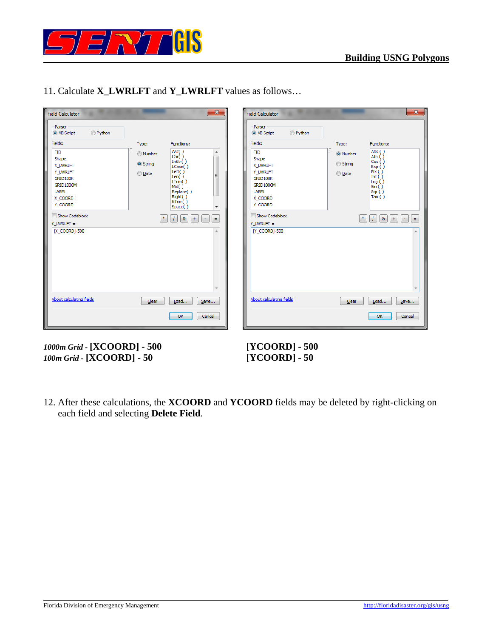

| <b>Field Calculator</b>                                                                                                                                                                                     | $\mathbf{x}$                                                                                                                                                                                                                                                                                         | <b>Field Calculator</b>                                                                                                                                                                                            | $\mathbf{x}$                                                                                                                                                                                                                     |
|-------------------------------------------------------------------------------------------------------------------------------------------------------------------------------------------------------------|------------------------------------------------------------------------------------------------------------------------------------------------------------------------------------------------------------------------------------------------------------------------------------------------------|--------------------------------------------------------------------------------------------------------------------------------------------------------------------------------------------------------------------|----------------------------------------------------------------------------------------------------------------------------------------------------------------------------------------------------------------------------------|
| Parser<br>Python<br>O VB Script<br>Fields:<br><b>FID</b><br>Shape<br><b>X LWRLFT</b><br>Y_LWRLFT<br>GRID100K<br>GRID1000M<br>LABEL<br>X_COORD<br>Y_COORD<br>Show Codeblock<br>$X$ LWRLFT =<br>[X_COORD]-500 | Type:<br>Functions:<br>Asc()<br>▲<br><b>Number</b><br>chr(i)<br>InStr()<br>String<br>LCase()<br>Left()<br>© <u>D</u> ate<br>Ξ<br>Len()<br>LTrim()<br>Mid()<br>Replace()<br>Right()<br>RTrim()<br>Space()<br>$\overline{\phantom{a}}$<br>$\left(\frac{1}{\alpha}\right)$<br>&<br>$+$<br>٠<br>h-<br>×. | Parser<br>Python<br>O VB Script<br>Fields:<br><b>FID</b><br>Shape<br><b>X LWRLFT</b><br>Y_LWRLFT<br>GRID100K<br><b>GRID1000M</b><br>LABEL<br>X_COORD<br>Y_COORD<br>Show Codeblock<br>$Y$ LWRLFT =<br>[Y_COORD]-500 | Type:<br>Functions:<br>Abs ()<br>O Number<br>Atn $()$<br>Cos( )<br>String<br>Exp()<br>Fix( )<br>◎ <u>D</u> ate<br>Int $($ )<br>$\log($ )<br>Sin( )<br>Sqr( )<br>Tan( )<br>8 <sub>k</sub><br>$+$<br>$\ast$<br>$\equiv$<br>٠<br>A. |
| About calculating fields                                                                                                                                                                                    | $\overline{\phantom{a}}$<br>$C$ <sub>lear</sub><br>Load<br>Save<br>OK<br>Cancel                                                                                                                                                                                                                      | About calculating fields                                                                                                                                                                                           | $\overline{\phantom{a}}$<br>Clear<br>Load<br>$S$ ave<br>OK<br>Cancel                                                                                                                                                             |

11. Calculate **X\_LWRLFT** and **Y\_LWRLFT** values as follows…

*1000m Grid -* **[XCOORD] - 500 [YCOORD] - 500**  *100m Grid -* **[XCOORD] - 50 [YCOORD] - 50** 

12. After these calculations, the **XCOORD** and **YCOORD** fields may be deleted by right-clicking on each field and selecting **Delete Field**.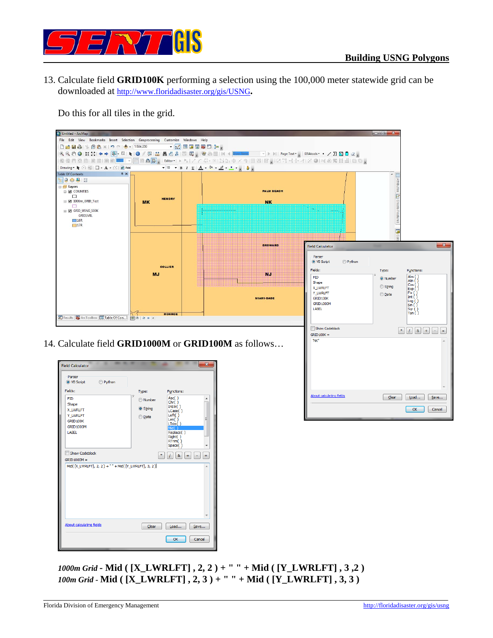

13. Calculate field **GRID100K** performing a selection using the 100,000 meter statewide grid can be downloaded at http://www.floridadisaster.org/gis/USNG**.**

Do this for all tiles in the grid.



*1000m Grid -* **Mid ( [X\_LWRLFT] , 2, 2 ) + " " + Mid ( [Y\_LWRLFT] , 3 ,2 )** *100m Grid -* **Mid ( [X\_LWRLFT] , 2, 3 ) + " " + Mid ( [Y\_LWRLFT] , 3, 3 )** 

 $\begin{tabular}{|c|c|c|} \hline \textbf{Clear}&\textbf{load}...&\textbf{Save}...\\ \hline \end{tabular}$ 

OK Cancel

**About calculating fields**